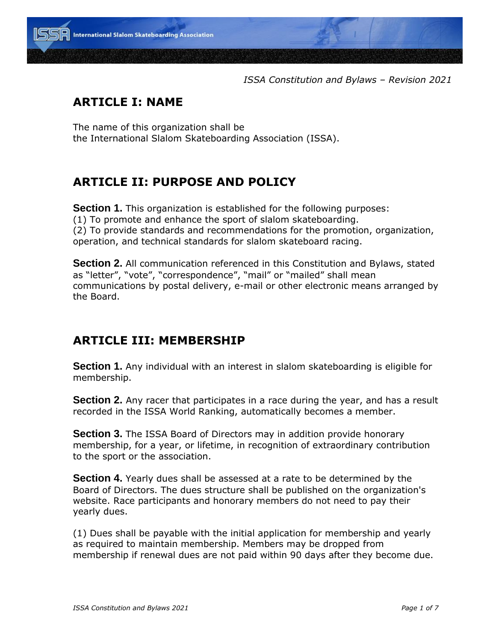

*ISSA Constitution and Bylaws – Revision 2021*

## **ARTICLE I: NAME**

The name of this organization shall be the International Slalom Skateboarding Association (ISSA).

## **ARTICLE II: PURPOSE AND POLICY**

**Section 1.** This organization is established for the following purposes: (1) To promote and enhance the sport of slalom skateboarding. (2) To provide standards and recommendations for the promotion, organization, operation, and technical standards for slalom skateboard racing.

**Section 2.** All communication referenced in this Constitution and Bylaws, stated as "letter", "vote", "correspondence", "mail" or "mailed" shall mean communications by postal delivery, e-mail or other electronic means arranged by the Board.

#### **ARTICLE III: MEMBERSHIP**

**Section 1.** Any individual with an interest in slalom skateboarding is eligible for membership.

**Section 2.** Any racer that participates in a race during the year, and has a result recorded in the ISSA World Ranking, automatically becomes a member.

**Section 3.** The ISSA Board of Directors may in addition provide honorary membership, for a year, or lifetime, in recognition of extraordinary contribution to the sport or the association.

**Section 4.** Yearly dues shall be assessed at a rate to be determined by the Board of Directors. The dues structure shall be published on the organization's website. Race participants and honorary members do not need to pay their yearly dues.

(1) Dues shall be payable with the initial application for membership and yearly as required to maintain membership. Members may be dropped from membership if renewal dues are not paid within 90 days after they become due.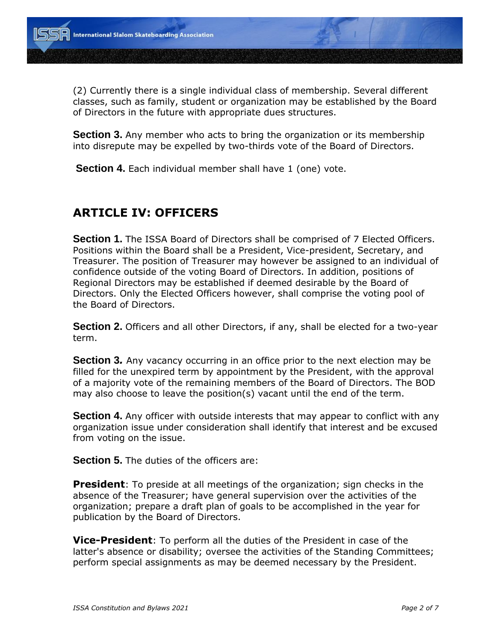(2) Currently there is a single individual class of membership. Several different classes, such as family, student or organization may be established by the Board of Directors in the future with appropriate dues structures.

**Section 3.** Any member who acts to bring the organization or its membership into disrepute may be expelled by two-thirds vote of the Board of Directors.

**Section 4.** Each individual member shall have 1 (one) vote.

## **ARTICLE IV: OFFICERS**

**Section 1.** The ISSA Board of Directors shall be comprised of 7 Elected Officers. Positions within the Board shall be a President, Vice-president, Secretary, and Treasurer. The position of Treasurer may however be assigned to an individual of confidence outside of the voting Board of Directors. In addition, positions of Regional Directors may be established if deemed desirable by the Board of Directors. Only the Elected Officers however, shall comprise the voting pool of the Board of Directors.

**Section 2.** Officers and all other Directors, if any, shall be elected for a two-year term.

**Section 3***.* Any vacancy occurring in an office prior to the next election may be filled for the unexpired term by appointment by the President, with the approval of a majority vote of the remaining members of the Board of Directors. The BOD may also choose to leave the position(s) vacant until the end of the term.

**Section 4.** Any officer with outside interests that may appear to conflict with any organization issue under consideration shall identify that interest and be excused from voting on the issue.

**Section 5.** The duties of the officers are:

**President**: To preside at all meetings of the organization; sign checks in the absence of the Treasurer; have general supervision over the activities of the organization; prepare a draft plan of goals to be accomplished in the year for publication by the Board of Directors.

**Vice-President**: To perform all the duties of the President in case of the latter's absence or disability; oversee the activities of the Standing Committees; perform special assignments as may be deemed necessary by the President.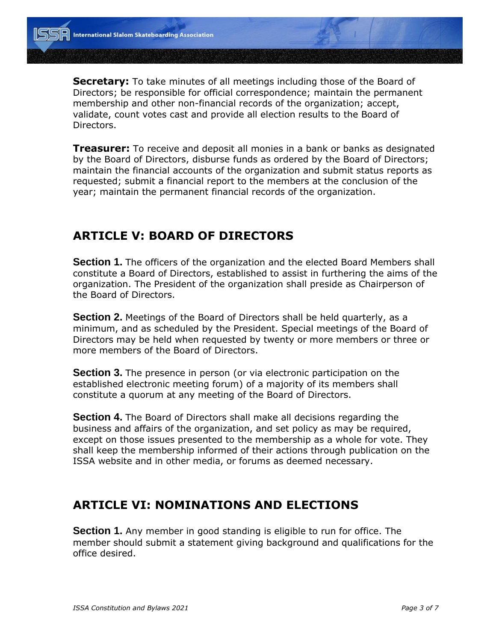**Secretary:** To take minutes of all meetings including those of the Board of Directors; be responsible for official correspondence; maintain the permanent membership and other non-financial records of the organization; accept, validate, count votes cast and provide all election results to the Board of Directors.

**Treasurer:** To receive and deposit all monies in a bank or banks as designated by the Board of Directors, disburse funds as ordered by the Board of Directors; maintain the financial accounts of the organization and submit status reports as requested; submit a financial report to the members at the conclusion of the year; maintain the permanent financial records of the organization.

#### **ARTICLE V: BOARD OF DIRECTORS**

**Section 1.** The officers of the organization and the elected Board Members shall constitute a Board of Directors, established to assist in furthering the aims of the organization. The President of the organization shall preside as Chairperson of the Board of Directors.

**Section 2.** Meetings of the Board of Directors shall be held quarterly, as a minimum, and as scheduled by the President. Special meetings of the Board of Directors may be held when requested by twenty or more members or three or more members of the Board of Directors.

**Section 3.** The presence in person (or via electronic participation on the established electronic meeting forum) of a majority of its members shall constitute a quorum at any meeting of the Board of Directors.

**Section 4.** The Board of Directors shall make all decisions regarding the business and affairs of the organization, and set policy as may be required, except on those issues presented to the membership as a whole for vote. They shall keep the membership informed of their actions through publication on the ISSA website and in other media, or forums as deemed necessary.

#### **ARTICLE VI: NOMINATIONS AND ELECTIONS**

**Section 1.** Any member in good standing is eligible to run for office. The member should submit a statement giving background and qualifications for the office desired.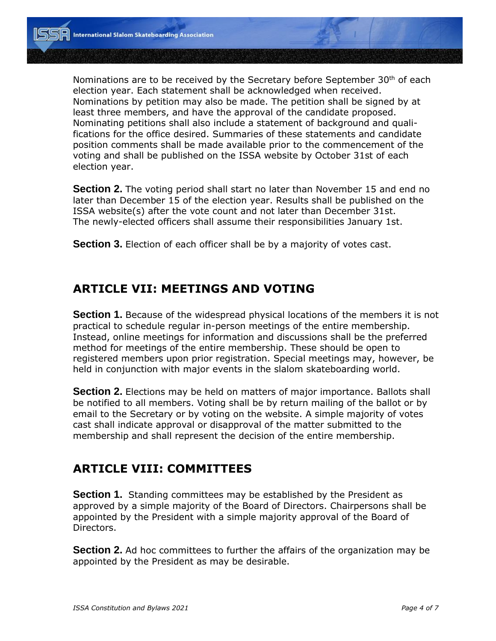Nominations are to be received by the Secretary before September  $30<sup>th</sup>$  of each election year. Each statement shall be acknowledged when received. Nominations by petition may also be made. The petition shall be signed by at least three members, and have the approval of the candidate proposed. Nominating petitions shall also include a statement of background and qualifications for the office desired. Summaries of these statements and candidate position comments shall be made available prior to the commencement of the voting and shall be published on the ISSA website by October 31st of each election year.

**Section 2.** The voting period shall start no later than November 15 and end no later than December 15 of the election year. Results shall be published on the ISSA website(s) after the vote count and not later than December 31st. The newly-elected officers shall assume their responsibilities January 1st.

**Section 3.** Election of each officer shall be by a majority of votes cast.

#### **ARTICLE VII: MEETINGS AND VOTING**

**Section 1.** Because of the widespread physical locations of the members it is not practical to schedule regular in-person meetings of the entire membership. Instead, online meetings for information and discussions shall be the preferred method for meetings of the entire membership. These should be open to registered members upon prior registration. Special meetings may, however, be held in conjunction with major events in the slalom skateboarding world.

**Section 2.** Elections may be held on matters of major importance. Ballots shall be notified to all members. Voting shall be by return mailing of the ballot or by email to the Secretary or by voting on the website. A simple majority of votes cast shall indicate approval or disapproval of the matter submitted to the membership and shall represent the decision of the entire membership.

#### **ARTICLE VIII: COMMITTEES**

**Section 1.** Standing committees may be established by the President as approved by a simple majority of the Board of Directors. Chairpersons shall be appointed by the President with a simple majority approval of the Board of Directors.

**Section 2.** Ad hoc committees to further the affairs of the organization may be appointed by the President as may be desirable.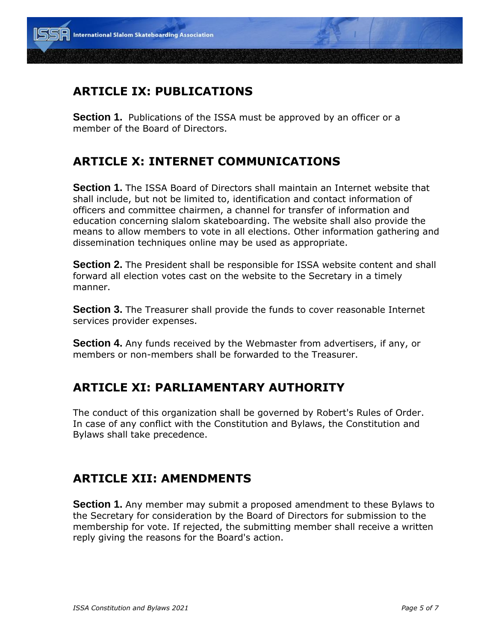## **ARTICLE IX: PUBLICATIONS**

**Section 1.** Publications of the ISSA must be approved by an officer or a member of the Board of Directors.

## **ARTICLE X: INTERNET COMMUNICATIONS**

**Section 1.** The ISSA Board of Directors shall maintain an Internet website that shall include, but not be limited to, identification and contact information of officers and committee chairmen, a channel for transfer of information and education concerning slalom skateboarding. The website shall also provide the means to allow members to vote in all elections. Other information gathering and dissemination techniques online may be used as appropriate.

**Section 2.** The President shall be responsible for ISSA website content and shall forward all election votes cast on the website to the Secretary in a timely manner.

**Section 3.** The Treasurer shall provide the funds to cover reasonable Internet services provider expenses.

**Section 4.** Any funds received by the Webmaster from advertisers, if any, or members or non-members shall be forwarded to the Treasurer.

#### **ARTICLE XI: PARLIAMENTARY AUTHORITY**

The conduct of this organization shall be governed by Robert's Rules of Order. In case of any conflict with the Constitution and Bylaws, the Constitution and Bylaws shall take precedence.

## **ARTICLE XII: AMENDMENTS**

**Section 1.** Any member may submit a proposed amendment to these Bylaws to the Secretary for consideration by the Board of Directors for submission to the membership for vote. If rejected, the submitting member shall receive a written reply giving the reasons for the Board's action.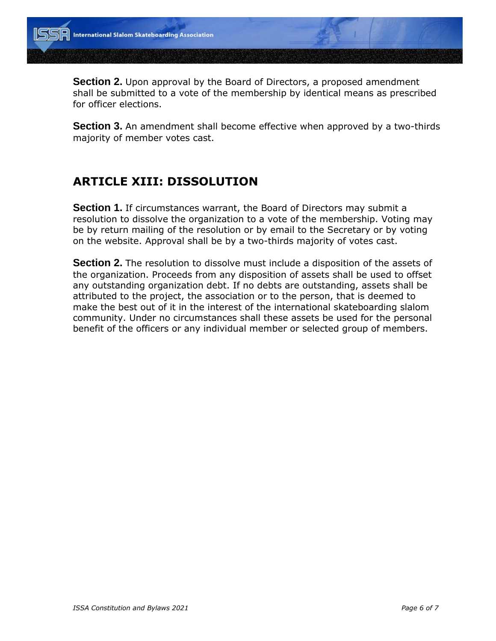**Section 2.** Upon approval by the Board of Directors, a proposed amendment shall be submitted to a vote of the membership by identical means as prescribed for officer elections.

**Section 3.** An amendment shall become effective when approved by a two-thirds majority of member votes cast.

## **ARTICLE XIII: DISSOLUTION**

**Section 1.** If circumstances warrant, the Board of Directors may submit a resolution to dissolve the organization to a vote of the membership. Voting may be by return mailing of the resolution or by email to the Secretary or by voting on the website. Approval shall be by a two-thirds majority of votes cast.

**Section 2.** The resolution to dissolve must include a disposition of the assets of the organization. Proceeds from any disposition of assets shall be used to offset any outstanding organization debt. If no debts are outstanding, assets shall be attributed to the project, the association or to the person, that is deemed to make the best out of it in the interest of the international skateboarding slalom community. Under no circumstances shall these assets be used for the personal benefit of the officers or any individual member or selected group of members.